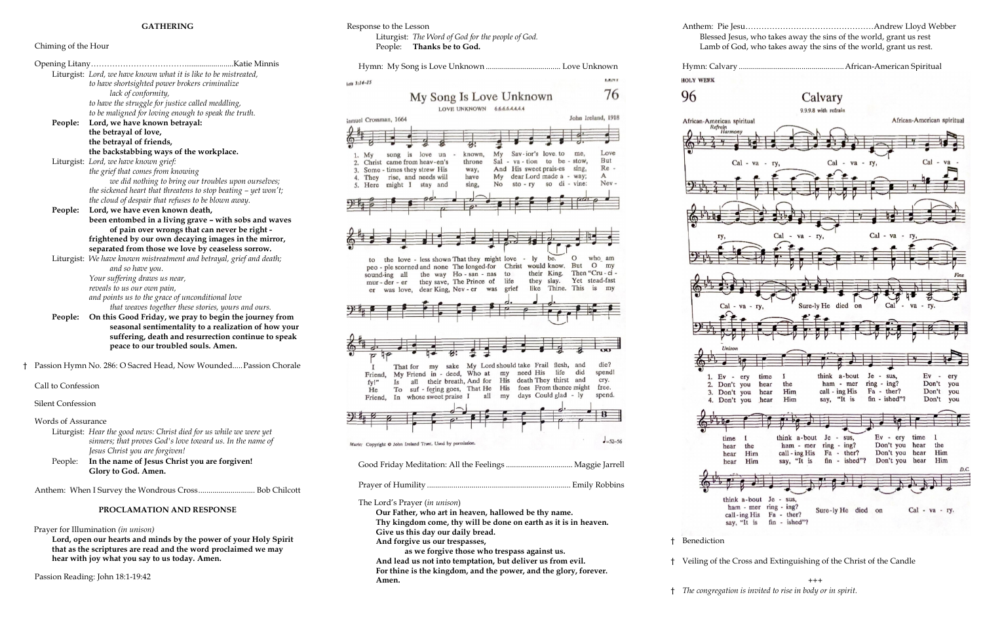## Chiming of the Hour

Opening Litany……………………………….......................Katie Minnis Liturgist:*Lord, we have known what it is like to be mistreated, to have shortsighted power brokers criminalize lack of conformity, to have the struggle for justice called meddling, to be maligned for loving enough to speak the truth.* **People: Lord, we have known betrayal: the betrayal of love, the betrayal of friends, the backstabbing ways of the workplace.**  Liturgist: *Lord, we have known grief: the grief that comes from knowing we did nothing to bring our troubles upon ourselves; the sickened heart that threatens to stop beating – yet won't; the cloud of despair that refuses to be blown away.* **People: Lord, we have even known death, been entombed in a living grave – with sobs and waves of pain over wrongs that can never be right frightened by our own decaying images in the mirror, separated from those we love by ceaseless sorrow.** Liturgist: *We have known mistreatment and betrayal, grief and death; and so have you. Your suffering draws us near, reveals to us our own pain, and points us to the grace of unconditional love that weaves together these stories, yours and ours.*

- **People: On this Good Friday, we pray to begin the journey from seasonal sentimentality to a realization of how your suffering, death and resurrection continue to speak peace to our troubled souls. Amen.**
- † Passion Hymn No. 286: O Sacred Head, Now Wounded.....Passion Chorale

Call to Confession

Silent Confession

Words of Assurance

Liturgist: *Hear the good news: Christ died for us while we were yet sinners; that proves God's love toward us. In the name of Jesus Christ you are forgiven!*

> $^{+++}$ † *The congregation is invited to rise in body or in spirit.*

LENT

76

Love

But

 $Re -$ 

Nev-

 $\mathsf{A}$ 

 $who$  am

 $die?$ 

spendl

cry.

Then "Cru - ci -

Yet stead-fast

John Ireland, 1918

me

to be - stow

so di - vine:

 $\Omega$ 

like Thine. This is my

flesh,

and

did

People: **In the name of Jesus Christ you are forgiven! Glory to God. Amen.**

Anthem: When I Survey the Wondrous Cross............................ Bob Chilcott

## **PROCLAMATION AND RESPONSE**

Prayer for Illumination *(in unison)*

**Lord, open our hearts and minds by the power of your Holy Spirit that as the scriptures are read and the word proclaimed we may hear with joy what you say to us today. Amen.**

Passion Reading: John 18:1-19:42

Response to the Lesson Liturgist: *The Word of God for the people of God.* People: **Thanks be to God.**

is love un

 $cts$  3:14-15

iamuel Crossman, 1664

 $Mv$  $1.$ 

 $f_{\Omega}$ 

Friend.

**Is** 

 $fyl^n$ 

He

sound-ing all

mur-der-er

song

Christ came from heav-en's

Some - times they strew His

4. They rise, and needs will

5. Here might I stay and

Hymn: My Song is Love Unknown ..................................... Love Unknown

known.

throne

way, have

sing,

the love - less shown That they might love - ly

er was love, dear King, Nev - er was grief

the way Ho-san-nas to

they save, The Prince of life

That for my sake My Lord should take Frail

My Friend in - deed, Who at my need His life



Good Friday Meditation: All the Feelings ................................. Maggie Jarrell

Prayer of Humility ....................................................................... Emily Robbins

The Lord's Prayer (*in unison*)

**Our Father, who art in heaven, hallowed be thy name. Thy kingdom come, thy will be done on earth as it is in heaven. Give us this day our daily bread.**

**And forgive us our trespasses,**

**as we forgive those who trespass against us. And lead us not into temptation, but deliver us from evil. For thine is the kingdom, and the power, and the glory, forever. Amen.**

Anthem: Pie Jesu…………………………………………Andrew Lloyd Webber Blessed Jesus, who takes away the sins of the world, grant us rest Lamb of God, who takes away the sins of the world, grant us rest.

Hymn: Calvary ....................................................African-American Spiritual

**HOLY WEEK** 

My Song Is Love Unknown LOVE UNKNOWN 6.6.6.6.4.4.4

 $Mv$ 

Sal

My

 $No$ 

peo - ple scorned and none The longed-for Christ would know. But O my

 $Sav$ -jor's love to

And His sweet prais-es sing,

dear Lord made a - way;

be.

their King.

they slay.

 $va - tion$ 

 $sto - rv$ 

96







all their breath, And for His death They thirst and

† Benediction

† Veiling of the Cross and Extinguishing of the Christ of the Candle